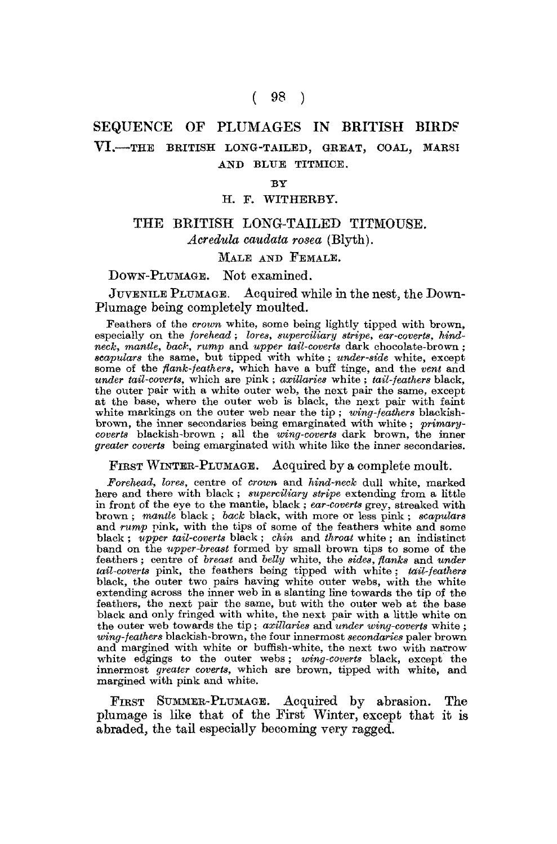# ( 98 )

# SEQUENCE OF PLUMAGES IN BRITISH BIRDS VI.-THE BRITISH LONG-TAILED, GREAT, COAL, MARSI AND BLUE TITMICE.

#### BY

#### H. F. WITHEBBY.

# THE BRITISH LONG-TAILED TITMOUSE. *Acredula caudata rosea* (Blyth).

# MALE AND FEMALE.

### DOWN-PLUMAGE. Not examined.

JUVENILE PLUMAGE. Acquired while in the nest, the Down-Plumage being completely moulted.

Feathers of the *crown* white, some being lightly tipped with brown, especially on the *forehead* ; *lores, superciliary stripe, ear-coverts, hindneck, mantle, bach, rump* and *upper tail-coverts* dark chocolate-brown; *scapulars* the same, but tipped with white ; *under-side* white, except some of the *flank-feathers,* which have a buff tinge, and the *vent* and *under tail-coverts*, which are pink; *axillaries* white; *tail-feathers* black, the outer pair with a white outer web, the next pair the same, except at the base, where the outer web is black, the next pair with faint white markings on the outer web near the tip ; *wing-feathers* blackishbrown, the inner secondaries being emarginated with white ; *primarycoverts* blackish-brown ; all the *wing-coverts* dark brown, the inner *greater coverts* being emarginated with white like the inner secondaries.

FIRST WINTER-PLUMAGE. Acquired by a complete moult.

*Forehead, lores,* centre of *crown* and *hind-neck* dull white, marked here and there with black; *superciliary stripe* extending from a little in front of the eye to the mantle, black ; *ear-coverts* grey, streaked with brown ; *mantle* black ; *back* black, with more or less pink ; *scapulars*  and *rump* pink, with the tips of some of the feathers white and some black ; *upper tail-coverts* black ; *chin* and *throat* white ; an indistinct band on the *upper-breast* formed by small brown tips to some of the feathers; centre of *breast* and *belly* white, the *sides, flanks* and *under tail-coverts* pink, the feathers being tipped with white ; *tail-feathers*  black, the outer two pairs having white outer webs, with the white extending across the inner web in a slanting line towards the tip of the feathers, the next pair the same, but with the outer web at the base black and only fringed with white, the next pair with a little white on the outer web towards the tip; *axillaries* and *under wing-coverts* white; *wing-feathers* blackish-brown, the four innermost *secondaries* paler brown and margined with white or buffish-white, the next two with narrow white edgings to the outer webs; *wing-coverts* black, except the innermost *greater coverts,* which are brown, tipped with white, and margined with pink and white.

FIRST SUMMER-PLUMAGE. Acquired by abrasion. The plumage is like that of the First Winter, except that it is abraded, the tail especially becoming very ragged.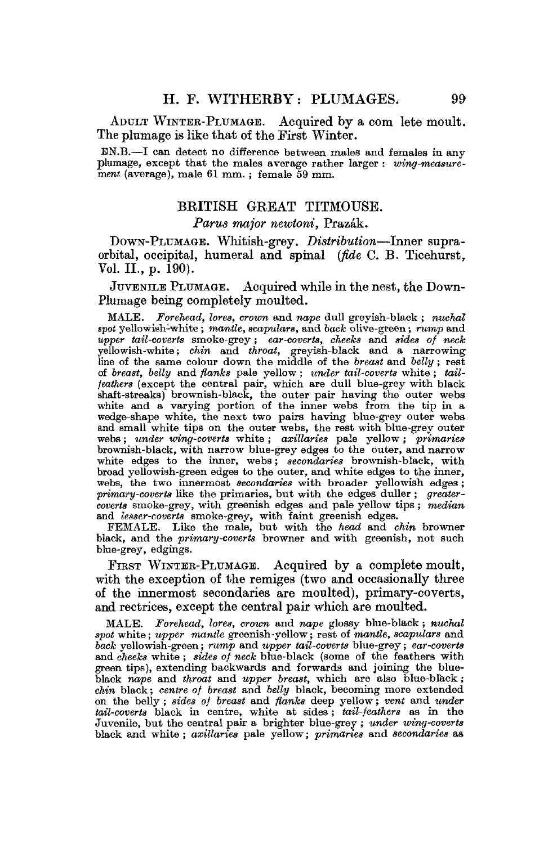ADULT WINTEB-PLUMAGE. Acquired by a com lete moult. The plumage is like that of the First Winter.

BN.B.—I can detect no difference between males and females in any plumage, except that the males average rather larger: wing-measure*ment* (average), male 61 mm. ; female 59 mm.

## BRITISH GREAT TITMOUSE.

#### *Parus major newtoni,* Prazak.

DOWN-PLUMAGE. Whitish-grey. *Distribution*—Inner supraorbital, occipital, humeral and spinal *(fide* C. B. Ticehurst, Vol. II., p. 190).

JUVENILE PLUMAGE. Acquired while in the nest, the Down-Plumage being completely moulted.

MALE. *Forehead, lores, crown* and *nape* dull greyish-black ; *nuchal spot* yellowish-white; *mantle, scapulars, and bock* olive-green; *rump* and *upper tail-coverts* smoke-grey ; *ear-coverts, cheeks* and *sides of neck*  yellowish-white; *chin* and *throat,* greyish-black and a narrowing line of the same colour down the middle of the *breast* and *belly* ; rest of *breast, belly* and *flanks* pale yellow; *under tail-coverts* white ; *tailfeathers* (except the central pair, which are dull blue-grey with black shaft-streaks) brownish-black, the outer pair having the outer webs white and a varying portion of the inner webs from the tip in a wedge-shape white, the next two pairs having blue-grey outer webs and small white tips on the outer webs, the rest with blue-grey outer webs; *under wing-coverts* white ; *axillaries* pale yellow ; *primaries*  brownish-black, with narrow blue-grey edges to the outer, and narrow white edges to the inner, webs; *secondaries* brownish-black, with broad yellowish-green edges to the outer, and white edges to the inner, webs, the two innermost secondaries with broader yellowish edges; *primary-coverts* like the primaries, but with the edges duller ; *greatercoverts* smoke-grey, with greenish edges and pale yellow tips ; *median*  and *lesser-coverts* smoke-grey, with faint greenish edges.

FEMALE. Like the male, but with the *head* and *chin* browner black, and the *primary-coverts* browner and with greenish, not such blue-grey, edgings.

FIRST WINTER-PLUMAGE. Acquired by a complete moult, with the exception of the remiges (two and occasionally three of the innermost secondaries are moulted), primary-coverts, and rectrices, except the central pair which are moulted.

MALE. *Forehead, lores, crown* and *nape* glossy blue-black; *nuchal spot* white; *upper mantle* greenish-yellow; rest of *mantle, scapulars* and *back* yellowish-green; *rump* and *upper tail-coverts* blue-grey; *ear-coverts*  and *cheeks* white ; *sides of neck* blue-black (some of the feathers with green tips), extending backwards and forwards and joining the blueblack *nape* and *throat* and *upper breast,* which are also blue-black; *chin* black; *centre of breast* and *belly* black, becoming more extended on the belly; *sides of breast* and *flanks* deep yellow; *vent* and *under*  tail-coverts black in centre, white at sides; tail-feathers as in the Juvenile, but the central pair a brighter blue-grey ; *under wing-coverts*  black and white ; *axillaries* pale yellow; *primaries* and *secondaries* as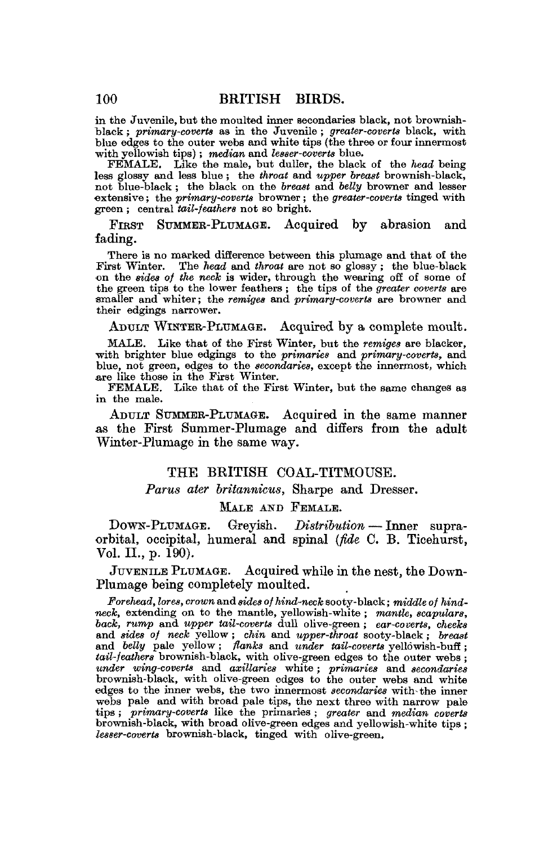in the Juvenile, but the moulted inner secondaries black, not brownishblack ; *primary-coverts* as in the Juvenile ; *greater-coverts* black, with blue edges to the outer webs and white tips (the three or four innermost with yellowish tips) ; *median,* and *lesser-coverts* blue.

FEMALE. Like the male, but duller, the black of the *head* being less glossy and less blue ; the *throat* and *upper breast* brownish-black, not blue-black ; the black on the *breast* and *belly* browner and lesser •extensive; the *primary-coverts* browner; the *greater-coverts* tinged with green ; central *tail-feathers* not so bright.

FIRST SUMMER-PLUMAGE. Acquired by abrasion and fading.

There is no marked difference between this plumage and that of the First Winter. The *head* and *throat* are not so glossy ; the blue-black on the *sides of the neck* is wider, through the wearing off of some of the green tips to the lower feathers; the tips of the *greater coverts* are smaller and whiter; the *remiges* and *primary-coverts ace* browner and their edgings narrower.

ADULT WINTER-PLUMAGE. Acquired by a complete moult.

MALE. Like that of the First Winter, but the *remiges* are blacker, with brighter blue edgings to the *primaries* and *primary-coverts,* and blue, not green, edges to the *secondaries,* except the innermost, which are like those in the First Winter.

FEMALE. Like that of the First Winter, but the same changes as in the male.

ADULT SUMMER-PLUMAGE. Acquired in the same manner as the First Summer-Plumage and differs from the adult Winter-Plumage in the same way.

#### THE BRITISH COAL-TITMOUSE.

#### *Partis ater britannicus,* Sharpe and Dresser.

#### MALE AND FEMALE.

DOWN-PLUMAGE. Greyish. *Distribution* — Inner supraorbital, occipital, humeral and spinal *(fide* C. B. Ticehurst, Vol. II., p. 190).

JUVENILE PLUMAGE. Acquired while in the nest, the Down-Plumage being completely moulted.

*Forehead, lores, crown* and *sides of hind-neck* sooty-black; *middle of hindneck,* extending on to the mantle, yellowish-white ; *mantle, scapulars, back, rump* and *upper tail-coverts* dull olive-green ; *ear-coverts, cheeks*  and *sides of neck* yellow; *chin* and *upper-throat* sooty-black ; *breast*  and *belly* pale yellow; *flanks* and *under tail-coverts* yellowish-buff ; *tail-feathers* brownish-black, with olive-green edges to the outer webs; *under wing-coverts* and *axillaries* white ; *primaries* and *secondaries*  brownish-black, with olive-green edges to the outer webs and white edges to the inner webs, the two innermost *secondaries* with-the inner webs pale and with broad pale tips, the next three with narrow pale tips ; *primary-coverts* like the primaries ; *greater* and *median coverts*  brownish-black, with broad olive-green edges and yellowish-white tips ; *lesser-coverts* brownish-black, tinged with olive-green.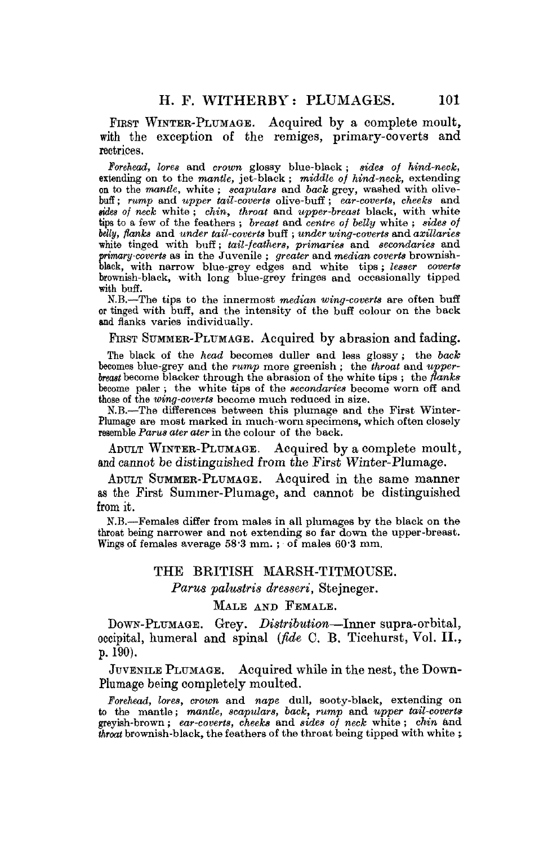FIRST WINTER-PLUMAGE. Acquired by a complete moult, with the exception of the remiges, primary-coverts and rectrices.

*Forehead, lores* and *crown* glossy blue-black; sides *of hind-neck,*  extending on to the *mantle,* jet-black; *middle of hind-neck,* extending on to the *mantle,* white ; *scapulars* and *back* grey, washed with olivebuff ; *rump* and *upper tail-coverts* olive-bufi ; *ear-coverts, cheeks* and *tides of neck* white ; *chin, throat* and *upper-breast* black, with white tips to a few of the feathers ; *breast* and *centre of belly* white ; *sides of belly, flanks* and *under tail-coverts* buff ; *under wing-coverts* and *axillaries*  white tinged with buff; *tail-feathers, primaries* and *secondaries* and *primary-coverts* as in the Juvenile ; *greater* and *median coverts* brownish-black, with narrow blue-grey edges and white tips; *lesser coverts*  brownish-black, with long blue-grey fringes and occasionally tipped with buff,

N.B.—The tips to the innermost *median wing-coverts* are often buff or tinged with buff, and the intensity of the buff colour on the back and flanks varies individually.

### FIRST SUMMER-PLUMAGE. Acquired by abrasion and fading.

The black of the *head* becomes duller and less glossy ; the *back*  becomes blue-grey and the *rump* more greenish ; the *throat* and *upperbreast* become blacker through the abrasion of the white tips ; the *flanks*  become paler ; the white tips of the *secondaries* become worn off and those of the *wing-coverts* become much reduced in size.

M.B.-—The differences between this plumage and the First Winter-Plumage are most marked in much-worn specimens, which often closely resemble *Parus ater ater* in the colour of the back.

ADULT WINTER-PLUMAGE. Acquired by a complete moult, and cannot be distinguished from the First Winter-Plumage.

ADULT SUMMER-PLUMAGE. Acquired in the same manner as the First Summer-Plumage, and cannot be distinguished from it.

N.B.—Females differ from males in all plumages by the black on the throat being narrower and not extending so far down the upper-breast. Wings of females average 58- 3 mm. ; of males 60'3 mm.

### THE BRITISH MARSH-TITMOUSE.

*Parus palustris dresseri,* Stejneger.

# MALE AND FEMALE.

DOWN-PLUMAGB. Grey. *Distribution*—Inner supra-orbital, occipital, humeral and spinal *(fide* C. B. Ticehurst, Vol. II., p. 190).

JUVENILE PLUMAGE. Acquired while in the nest, the Down-Plumage being completely moulted.

*Forehead, lores, crown* and *nape* dull, sooty-black, extending on to the mantle; *mantle, scapulars, back, rump* and *upper tail-coverts*  greyish-brown ; *ear-coverts, cheeks* and *sides of neck* white ; *chin* and *throat* brownish-black, the feathers of the throat being tipped with white ;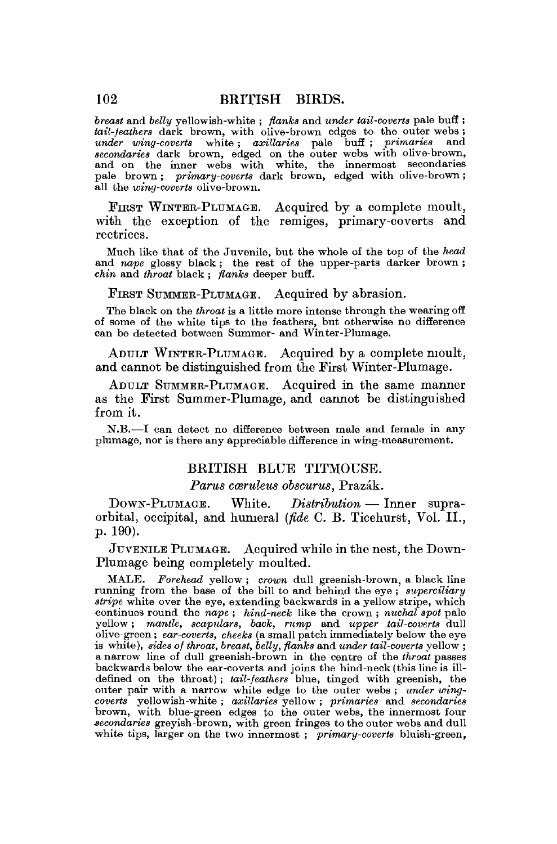*breast* and *belly* yellowish-white ; *flanks* and *under tail-coverts* pale buff; *tail-feathers* dark brown, with olive-brown edges to the outer webs ; *under wing-coverts* white ; *axillaries* pale buff ; *primaries* and *secondaries* dark brown, edged on the outer webs with olive-brown, and on the inner webs with white, the innermost secondaries pale brown ; *primary-coverts* dark brown, edged with olive-brown; all the *wing-coverts* olive-brown.

FIRST WINTER-PLUMAGE. Acquired by a complete moult, with the exception of the remiges, primary-coverts and rectrices.

Much like that of the Juvenile, but the whole of the top of the head and *nape* glossy black; the rest of the upper-parts darker brown; *chin* and *throat* black ; *flanks* deeper buff.

FIRST SUMMER-PLUMAGE. Acquired by abrasion.

The black on the *throat* is a little more intense through the wearing off of some of the white tips to the feathers, but otherwise no difference can be detected between Summer- and Winter-Plumage.

ADULT WINTER-PLUMAGE. Acquired by a complete moult, and cannot be distinguished from the First Winter-Plumage.

ADULT SUMMER-PLUMAGE. Acquired in the same manner as the First Summer-Plumage, and cannot be distinguished from it.

N.B.—I can detect no difference between male and female in any plumage, nor is there any appreciable difference in wing-measurement.

## BRITISH BLUE TITMOUSE.

*Parus cœruleus obscurus, Prazák.* 

DOWN-PLUMAGE. White. *Distribution* — Inner supraorbital, occipital, and humeral *(fide* C. B. Ticehurst, Vol. II., p. 190).

JUVENILE PLUMAGE. Acquired while in the nest, the Down-Plumage being completely moulted.

MALE. *Forehead* yellow ; *crown* dull greenish-brown, a black line running from the base of the bill to and behind the eye ; *superciliary stripe* white over the eye, extending backwards in a yellow stripe, which continues round the *nape ; hind-neck* like the crown ; *nuchal spot* pale yellow; *mantle, scapulars, back, rump* and *upper tail-coverts* dull olive-green ; *ear-coverts, cheeks* (a small patch immediately below the eye is white), *sides of throat, breast, belly, flanks* and *under tail-coverts* yellow ; a narrow line of dull greenish-brown in the centre of the *throat* passes backwards below the ear-coverts and joins the hind-neck (this line is illdefined on the throat) ; *tail-feathers* blue, tinged with greenish, the outer pair with a narrow white edge to the outer webs ; *under wingcoverts* yellowish-white ; *axillaries* yellow ; *primaries* and *secondaries*  brown, with blue-green edges to the outer webs, the innermost four *secondaries* greyish-brown, with green fringes to the outer webs and dull white tips, larger on the two innermost ; *primary-coverts* bluish-green,